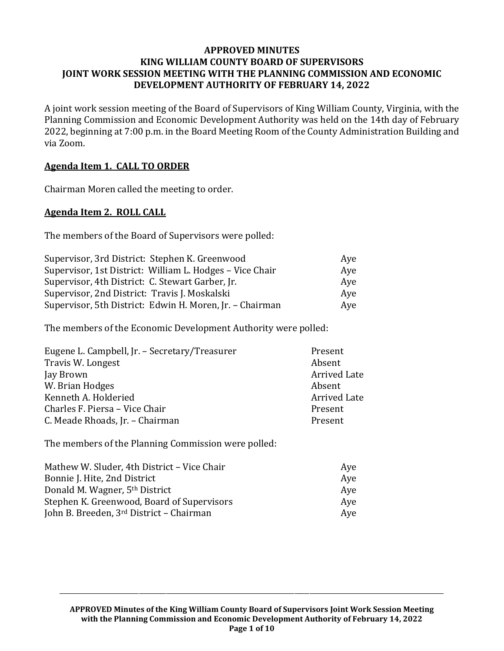#### **APPROVED MINUTES KING WILLIAM COUNTY BOARD OF SUPERVISORS JOINT WORK SESSION MEETING WITH THE PLANNING COMMISSION AND ECONOMIC DEVELOPMENT AUTHORITY OF FEBRUARY 14, 2022**

A joint work session meeting of the Board of Supervisors of King William County, Virginia, with the Planning Commission and Economic Development Authority was held on the 14th day of February 2022, beginning at 7:00 p.m. in the Board Meeting Room of the County Administration Building and via Zoom.

### **Agenda Item 1. CALL TO ORDER**

Chairman Moren called the meeting to order.

### **Agenda Item 2. ROLL CALL**

The members of the Board of Supervisors were polled:

| Supervisor, 3rd District: Stephen K. Greenwood           | Aye |
|----------------------------------------------------------|-----|
| Supervisor, 1st District: William L. Hodges - Vice Chair | Aye |
| Supervisor, 4th District: C. Stewart Garber, Jr.         | Aye |
| Supervisor, 2nd District: Travis J. Moskalski            | Aye |
| Supervisor, 5th District: Edwin H. Moren, Jr. - Chairman | Aye |

The members of the Economic Development Authority were polled:

| Eugene L. Campbell, Jr. - Secretary/Treasurer | Present             |
|-----------------------------------------------|---------------------|
| Travis W. Longest                             | Absent              |
| Jay Brown                                     | <b>Arrived Late</b> |
| W. Brian Hodges                               | Absent              |
| Kenneth A. Holderied                          | <b>Arrived Late</b> |
| Charles F. Piersa - Vice Chair                | Present             |
| C. Meade Rhoads, Jr. - Chairman               | Present             |

The members of the Planning Commission were polled:

| Mathew W. Sluder, 4th District - Vice Chair | Ave |
|---------------------------------------------|-----|
| Bonnie J. Hite, 2nd District                | Ave |
| Donald M. Wagner, 5 <sup>th</sup> District  | Ave |
| Stephen K. Greenwood, Board of Supervisors  | Ave |
| John B. Breeden, 3rd District - Chairman    | Ave |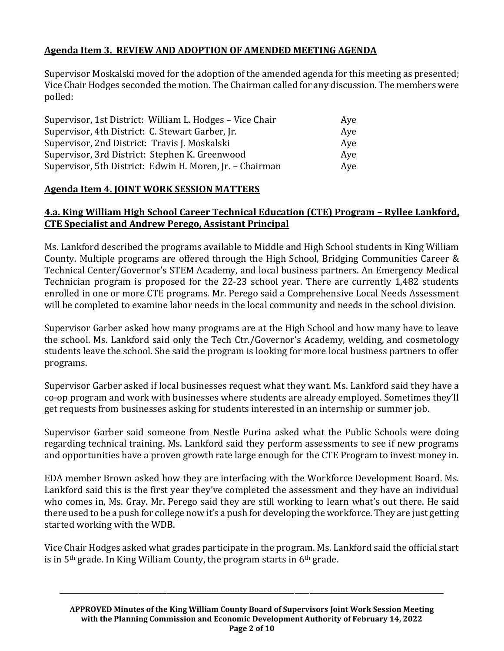# **Agenda Item 3. REVIEW AND ADOPTION OF AMENDED MEETING AGENDA**

Supervisor Moskalski moved for the adoption of the amended agenda for this meeting as presented; Vice Chair Hodges seconded the motion. The Chairman called for any discussion. The members were polled:

| Supervisor, 1st District: William L. Hodges - Vice Chair | Aye |
|----------------------------------------------------------|-----|
| Supervisor, 4th District: C. Stewart Garber, Jr.         | Aye |
| Supervisor, 2nd District: Travis J. Moskalski            | Aye |
| Supervisor, 3rd District: Stephen K. Greenwood           | Ave |
| Supervisor, 5th District: Edwin H. Moren, Jr. - Chairman | Aye |

## **Agenda Item 4. JOINT WORK SESSION MATTERS**

## **4.a. King William High School Career Technical Education (CTE) Program – Ryllee Lankford, CTE Specialist and Andrew Perego, Assistant Principal**

Ms. Lankford described the programs available to Middle and High School students in King William County. Multiple programs are offered through the High School, Bridging Communities Career & Technical Center/Governor's STEM Academy, and local business partners. An Emergency Medical Technician program is proposed for the 22-23 school year. There are currently 1,482 students enrolled in one or more CTE programs. Mr. Perego said a Comprehensive Local Needs Assessment will be completed to examine labor needs in the local community and needs in the school division.

Supervisor Garber asked how many programs are at the High School and how many have to leave the school. Ms. Lankford said only the Tech Ctr./Governor's Academy, welding, and cosmetology students leave the school. She said the program is looking for more local business partners to offer programs.

Supervisor Garber asked if local businesses request what they want. Ms. Lankford said they have a co-op program and work with businesses where students are already employed. Sometimes they'll get requests from businesses asking for students interested in an internship or summer job.

Supervisor Garber said someone from Nestle Purina asked what the Public Schools were doing regarding technical training. Ms. Lankford said they perform assessments to see if new programs and opportunities have a proven growth rate large enough for the CTE Program to invest money in.

EDA member Brown asked how they are interfacing with the Workforce Development Board. Ms. Lankford said this is the first year they've completed the assessment and they have an individual who comes in, Ms. Gray. Mr. Perego said they are still working to learn what's out there. He said there used to be a push for college now it's a push for developing the workforce. They are just getting started working with the WDB.

Vice Chair Hodges asked what grades participate in the program. Ms. Lankford said the official start is in  $5<sup>th</sup>$  grade. In King William County, the program starts in  $6<sup>th</sup>$  grade.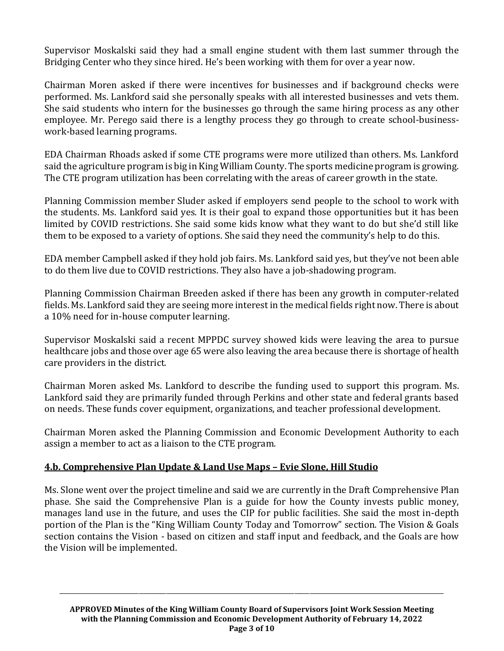Supervisor Moskalski said they had a small engine student with them last summer through the Bridging Center who they since hired. He's been working with them for over a year now.

Chairman Moren asked if there were incentives for businesses and if background checks were performed. Ms. Lankford said she personally speaks with all interested businesses and vets them. She said students who intern for the businesses go through the same hiring process as any other employee. Mr. Perego said there is a lengthy process they go through to create school-businesswork-based learning programs.

EDA Chairman Rhoads asked if some CTE programs were more utilized than others. Ms. Lankford said the agriculture program is big in King William County. The sports medicine program is growing. The CTE program utilization has been correlating with the areas of career growth in the state.

Planning Commission member Sluder asked if employers send people to the school to work with the students. Ms. Lankford said yes. It is their goal to expand those opportunities but it has been limited by COVID restrictions. She said some kids know what they want to do but she'd still like them to be exposed to a variety of options. She said they need the community's help to do this.

EDA member Campbell asked if they hold job fairs. Ms. Lankford said yes, but they've not been able to do them live due to COVID restrictions. They also have a job-shadowing program.

Planning Commission Chairman Breeden asked if there has been any growth in computer-related fields. Ms. Lankford said they are seeing more interest in the medical fields right now. There is about a 10% need for in-house computer learning.

Supervisor Moskalski said a recent MPPDC survey showed kids were leaving the area to pursue healthcare jobs and those over age 65 were also leaving the area because there is shortage of health care providers in the district.

Chairman Moren asked Ms. Lankford to describe the funding used to support this program. Ms. Lankford said they are primarily funded through Perkins and other state and federal grants based on needs. These funds cover equipment, organizations, and teacher professional development.

Chairman Moren asked the Planning Commission and Economic Development Authority to each assign a member to act as a liaison to the CTE program.

## **4.b. Comprehensive Plan Update & Land Use Maps – Evie Slone, Hill Studio**

Ms. Slone went over the project timeline and said we are currently in the Draft Comprehensive Plan phase. She said the Comprehensive Plan is a guide for how the County invests public money, manages land use in the future, and uses the CIP for public facilities. She said the most in-depth portion of the Plan is the "King William County Today and Tomorrow" section. The Vision & Goals section contains the Vision - based on citizen and staff input and feedback, and the Goals are how the Vision will be implemented.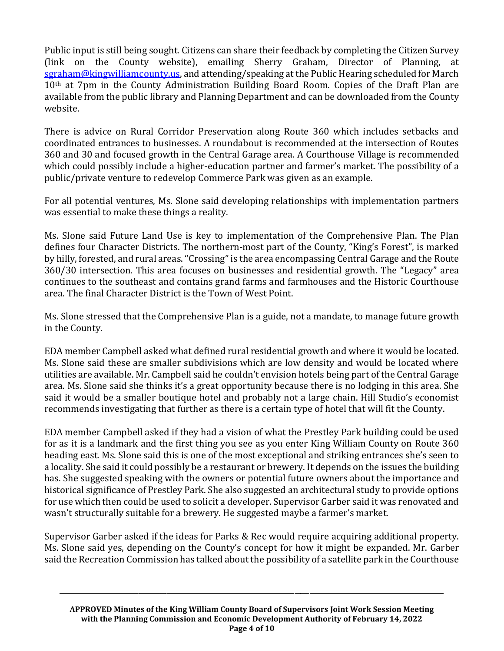Public input is still being sought. Citizens can share their feedback by completing the Citizen Survey (link on the County website), emailing Sherry Graham, Director of Planning, at [sgraham@kingwilliamcounty.us,](mailto:sgraham@kingwilliamcounty.us) and attending/speaking at the Public Hearing scheduled for March 10<sup>th</sup> at 7pm in the County Administration Building Board Room. Copies of the Draft Plan are available from the public library and Planning Department and can be downloaded from the County website.

There is advice on Rural Corridor Preservation along Route 360 which includes setbacks and coordinated entrances to businesses. A roundabout is recommended at the intersection of Routes 360 and 30 and focused growth in the Central Garage area. A Courthouse Village is recommended which could possibly include a higher-education partner and farmer's market. The possibility of a public/private venture to redevelop Commerce Park was given as an example.

For all potential ventures, Ms. Slone said developing relationships with implementation partners was essential to make these things a reality.

Ms. Slone said Future Land Use is key to implementation of the Comprehensive Plan. The Plan defines four Character Districts. The northern-most part of the County, "King's Forest", is marked by hilly, forested, and rural areas. "Crossing" is the area encompassing Central Garage and the Route 360/30 intersection. This area focuses on businesses and residential growth. The "Legacy" area continues to the southeast and contains grand farms and farmhouses and the Historic Courthouse area. The final Character District is the Town of West Point.

Ms. Slone stressed that the Comprehensive Plan is a guide, not a mandate, to manage future growth in the County.

EDA member Campbell asked what defined rural residential growth and where it would be located. Ms. Slone said these are smaller subdivisions which are low density and would be located where utilities are available. Mr. Campbell said he couldn't envision hotels being part of the Central Garage area. Ms. Slone said she thinks it's a great opportunity because there is no lodging in this area. She said it would be a smaller boutique hotel and probably not a large chain. Hill Studio's economist recommends investigating that further as there is a certain type of hotel that will fit the County.

EDA member Campbell asked if they had a vision of what the Prestley Park building could be used for as it is a landmark and the first thing you see as you enter King William County on Route 360 heading east. Ms. Slone said this is one of the most exceptional and striking entrances she's seen to a locality. She said it could possibly be a restaurant or brewery. It depends on the issues the building has. She suggested speaking with the owners or potential future owners about the importance and historical significance of Prestley Park. She also suggested an architectural study to provide options for use which then could be used to solicit a developer. Supervisor Garber said it was renovated and wasn't structurally suitable for a brewery. He suggested maybe a farmer's market.

Supervisor Garber asked if the ideas for Parks & Rec would require acquiring additional property. Ms. Slone said yes, depending on the County's concept for how it might be expanded. Mr. Garber said the Recreation Commission has talked about the possibility of a satellite park in the Courthouse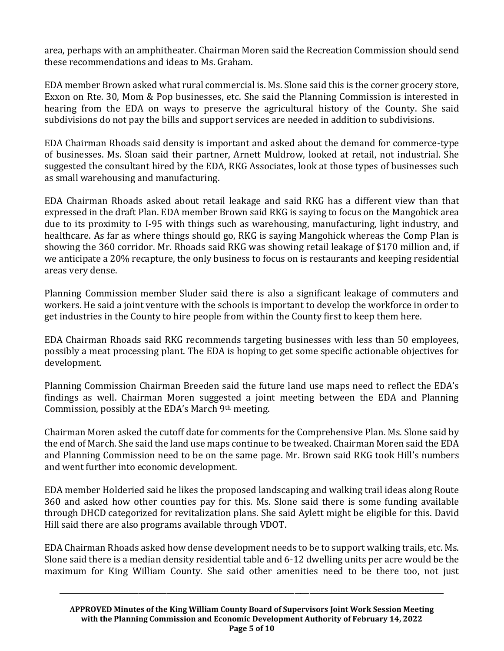area, perhaps with an amphitheater. Chairman Moren said the Recreation Commission should send these recommendations and ideas to Ms. Graham.

EDA member Brown asked what rural commercial is. Ms. Slone said this is the corner grocery store, Exxon on Rte. 30, Mom & Pop businesses, etc. She said the Planning Commission is interested in hearing from the EDA on ways to preserve the agricultural history of the County. She said subdivisions do not pay the bills and support services are needed in addition to subdivisions.

EDA Chairman Rhoads said density is important and asked about the demand for commerce-type of businesses. Ms. Sloan said their partner, Arnett Muldrow, looked at retail, not industrial. She suggested the consultant hired by the EDA, RKG Associates, look at those types of businesses such as small warehousing and manufacturing.

EDA Chairman Rhoads asked about retail leakage and said RKG has a different view than that expressed in the draft Plan. EDA member Brown said RKG is saying to focus on the Mangohick area due to its proximity to I-95 with things such as warehousing, manufacturing, light industry, and healthcare. As far as where things should go, RKG is saying Mangohick whereas the Comp Plan is showing the 360 corridor. Mr. Rhoads said RKG was showing retail leakage of \$170 million and, if we anticipate a 20% recapture, the only business to focus on is restaurants and keeping residential areas very dense.

Planning Commission member Sluder said there is also a significant leakage of commuters and workers. He said a joint venture with the schools is important to develop the workforce in order to get industries in the County to hire people from within the County first to keep them here.

EDA Chairman Rhoads said RKG recommends targeting businesses with less than 50 employees, possibly a meat processing plant. The EDA is hoping to get some specific actionable objectives for development.

Planning Commission Chairman Breeden said the future land use maps need to reflect the EDA's findings as well. Chairman Moren suggested a joint meeting between the EDA and Planning Commission, possibly at the EDA's March 9th meeting.

Chairman Moren asked the cutoff date for comments for the Comprehensive Plan. Ms. Slone said by the end of March. She said the land use maps continue to be tweaked. Chairman Moren said the EDA and Planning Commission need to be on the same page. Mr. Brown said RKG took Hill's numbers and went further into economic development.

EDA member Holderied said he likes the proposed landscaping and walking trail ideas along Route 360 and asked how other counties pay for this. Ms. Slone said there is some funding available through DHCD categorized for revitalization plans. She said Aylett might be eligible for this. David Hill said there are also programs available through VDOT.

EDA Chairman Rhoads asked how dense development needs to be to support walking trails, etc. Ms. Slone said there is a median density residential table and 6-12 dwelling units per acre would be the maximum for King William County. She said other amenities need to be there too, not just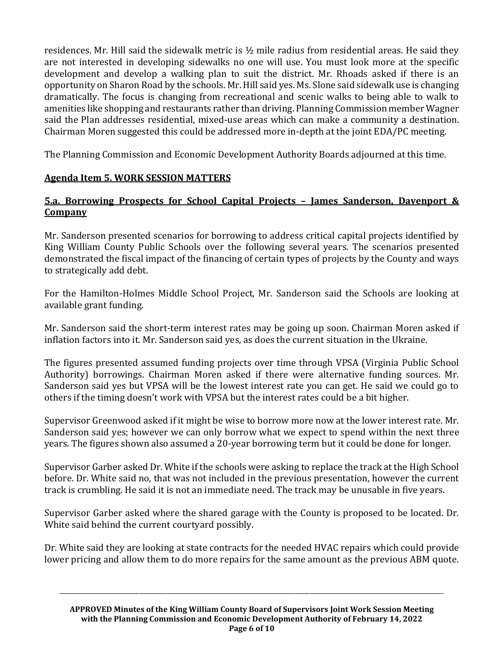residences. Mr. Hill said the sidewalk metric is  $\frac{1}{2}$  mile radius from residential areas. He said they are not interested in developing sidewalks no one will use. You must look more at the specific development and develop a walking plan to suit the district. Mr. Rhoads asked if there is an opportunity on Sharon Road by the schools. Mr. Hill said yes. Ms. Slone said sidewalk use is changing dramatically. The focus is changing from recreational and scenic walks to being able to walk to amenities like shopping and restaurants rather than driving. Planning Commission member Wagner said the Plan addresses residential, mixed-use areas which can make a community a destination. Chairman Moren suggested this could be addressed more in-depth at the joint EDA/PC meeting.

The Planning Commission and Economic Development Authority Boards adjourned at this time.

# **Agenda Item 5. WORK SESSION MATTERS**

# **5.a. Borrowing Prospects for School Capital Projects – James Sanderson, Davenport & Company**

Mr. Sanderson presented scenarios for borrowing to address critical capital projects identified by King William County Public Schools over the following several years. The scenarios presented demonstrated the fiscal impact of the financing of certain types of projects by the County and ways to strategically add debt.

For the Hamilton-Holmes Middle School Project, Mr. Sanderson said the Schools are looking at available grant funding.

Mr. Sanderson said the short-term interest rates may be going up soon. Chairman Moren asked if inflation factors into it. Mr. Sanderson said yes, as does the current situation in the Ukraine.

The figures presented assumed funding projects over time through VPSA (Virginia Public School Authority) borrowings. Chairman Moren asked if there were alternative funding sources. Mr. Sanderson said yes but VPSA will be the lowest interest rate you can get. He said we could go to others if the timing doesn't work with VPSA but the interest rates could be a bit higher.

Supervisor Greenwood asked if it might be wise to borrow more now at the lower interest rate. Mr. Sanderson said yes; however we can only borrow what we expect to spend within the next three years. The figures shown also assumed a 20-year borrowing term but it could be done for longer.

Supervisor Garber asked Dr. White if the schools were asking to replace the track at the High School before. Dr. White said no, that was not included in the previous presentation, however the current track is crumbling. He said it is not an immediate need. The track may be unusable in five years.

Supervisor Garber asked where the shared garage with the County is proposed to be located. Dr. White said behind the current courtyard possibly.

Dr. White said they are looking at state contracts for the needed HVAC repairs which could provide lower pricing and allow them to do more repairs for the same amount as the previous ABM quote.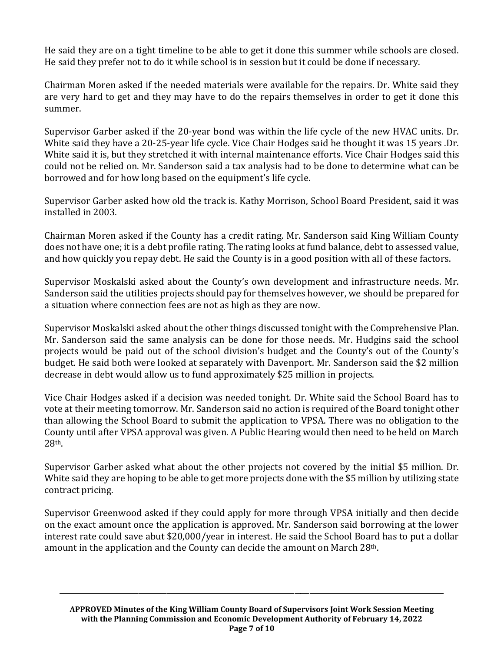He said they are on a tight timeline to be able to get it done this summer while schools are closed. He said they prefer not to do it while school is in session but it could be done if necessary.

Chairman Moren asked if the needed materials were available for the repairs. Dr. White said they are very hard to get and they may have to do the repairs themselves in order to get it done this summer.

Supervisor Garber asked if the 20-year bond was within the life cycle of the new HVAC units. Dr. White said they have a 20-25-year life cycle. Vice Chair Hodges said he thought it was 15 years .Dr. White said it is, but they stretched it with internal maintenance efforts. Vice Chair Hodges said this could not be relied on. Mr. Sanderson said a tax analysis had to be done to determine what can be borrowed and for how long based on the equipment's life cycle.

Supervisor Garber asked how old the track is. Kathy Morrison, School Board President, said it was installed in 2003.

Chairman Moren asked if the County has a credit rating. Mr. Sanderson said King William County does not have one; it is a debt profile rating. The rating looks at fund balance, debt to assessed value, and how quickly you repay debt. He said the County is in a good position with all of these factors.

Supervisor Moskalski asked about the County's own development and infrastructure needs. Mr. Sanderson said the utilities projects should pay for themselves however, we should be prepared for a situation where connection fees are not as high as they are now.

Supervisor Moskalski asked about the other things discussed tonight with the Comprehensive Plan. Mr. Sanderson said the same analysis can be done for those needs. Mr. Hudgins said the school projects would be paid out of the school division's budget and the County's out of the County's budget. He said both were looked at separately with Davenport. Mr. Sanderson said the \$2 million decrease in debt would allow us to fund approximately \$25 million in projects.

Vice Chair Hodges asked if a decision was needed tonight. Dr. White said the School Board has to vote at their meeting tomorrow. Mr. Sanderson said no action is required of the Board tonight other than allowing the School Board to submit the application to VPSA. There was no obligation to the County until after VPSA approval was given. A Public Hearing would then need to be held on March 28th.

Supervisor Garber asked what about the other projects not covered by the initial \$5 million. Dr. White said they are hoping to be able to get more projects done with the \$5 million by utilizing state contract pricing.

Supervisor Greenwood asked if they could apply for more through VPSA initially and then decide on the exact amount once the application is approved. Mr. Sanderson said borrowing at the lower interest rate could save abut \$20,000/year in interest. He said the School Board has to put a dollar amount in the application and the County can decide the amount on March 28th.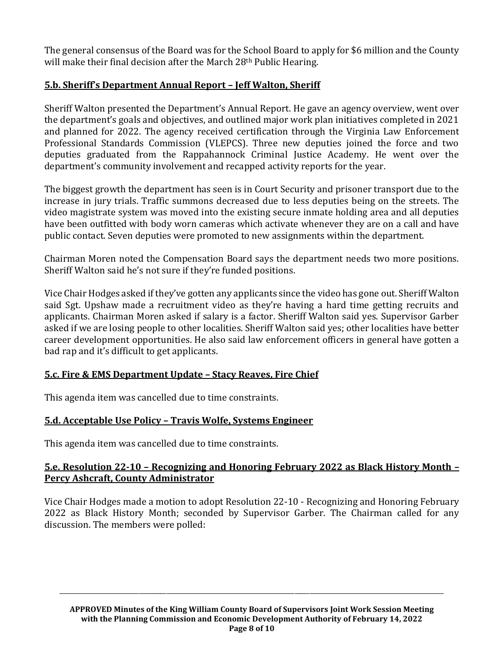The general consensus of the Board was for the School Board to apply for \$6 million and the County will make their final decision after the March 28<sup>th</sup> Public Hearing.

# **5.b. Sheriff's Department Annual Report – Jeff Walton, Sheriff**

Sheriff Walton presented the Department's Annual Report. He gave an agency overview, went over the department's goals and objectives, and outlined major work plan initiatives completed in 2021 and planned for 2022. The agency received certification through the Virginia Law Enforcement Professional Standards Commission (VLEPCS). Three new deputies joined the force and two deputies graduated from the Rappahannock Criminal Justice Academy. He went over the department's community involvement and recapped activity reports for the year.

The biggest growth the department has seen is in Court Security and prisoner transport due to the increase in jury trials. Traffic summons decreased due to less deputies being on the streets. The video magistrate system was moved into the existing secure inmate holding area and all deputies have been outfitted with body worn cameras which activate whenever they are on a call and have public contact. Seven deputies were promoted to new assignments within the department.

Chairman Moren noted the Compensation Board says the department needs two more positions. Sheriff Walton said he's not sure if they're funded positions.

Vice Chair Hodges asked if they've gotten any applicants since the video has gone out. Sheriff Walton said Sgt. Upshaw made a recruitment video as they're having a hard time getting recruits and applicants. Chairman Moren asked if salary is a factor. Sheriff Walton said yes. Supervisor Garber asked if we are losing people to other localities. Sheriff Walton said yes; other localities have better career development opportunities. He also said law enforcement officers in general have gotten a bad rap and it's difficult to get applicants.

## **5.c. Fire & EMS Department Update – Stacy Reaves, Fire Chief**

This agenda item was cancelled due to time constraints.

## **5.d. Acceptable Use Policy – Travis Wolfe, Systems Engineer**

This agenda item was cancelled due to time constraints.

### **5.e. Resolution 22-10 – Recognizing and Honoring February 2022 as Black History Month – Percy Ashcraft, County Administrator**

Vice Chair Hodges made a motion to adopt Resolution 22-10 - Recognizing and Honoring February 2022 as Black History Month; seconded by Supervisor Garber. The Chairman called for any discussion. The members were polled: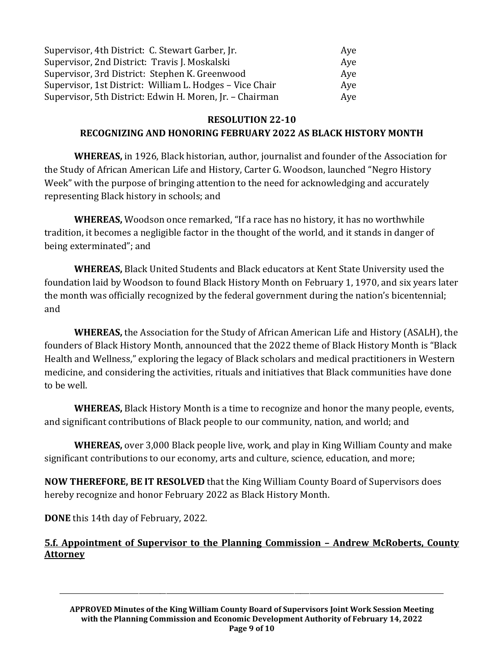| Supervisor, 4th District: C. Stewart Garber, Jr.         | Ave |
|----------------------------------------------------------|-----|
| Supervisor, 2nd District: Travis J. Moskalski            | Ave |
| Supervisor, 3rd District: Stephen K. Greenwood           | Aye |
| Supervisor, 1st District: William L. Hodges - Vice Chair | Ave |
| Supervisor, 5th District: Edwin H. Moren, Jr. - Chairman | Aye |

# **RESOLUTION 22-10 RECOGNIZING AND HONORING FEBRUARY 2022 AS BLACK HISTORY MONTH**

**WHEREAS,** in 1926, Black historian, author, journalist and founder of the Association for the Study of African American Life and History, Carter G. Woodson, launched "Negro History Week" with the purpose of bringing attention to the need for acknowledging and accurately representing Black history in schools; and

**WHEREAS,** Woodson once remarked, "If a race has no history, it has no worthwhile tradition, it becomes a negligible factor in the thought of the world, and it stands in danger of being exterminated"; and

**WHEREAS,** Black United Students and Black educators at Kent State University used the foundation laid by Woodson to found Black History Month on February 1, 1970, and six years later the month was officially recognized by the federal government during the nation's bicentennial; and

**WHEREAS,** the Association for the Study of African American Life and History (ASALH), the founders of Black History Month, announced that the 2022 theme of Black History Month is "Black Health and Wellness," exploring the legacy of Black scholars and medical practitioners in Western medicine, and considering the activities, rituals and initiatives that Black communities have done to be well.

**WHEREAS,** Black History Month is a time to recognize and honor the many people, events, and significant contributions of Black people to our community, nation, and world; and

**WHEREAS,** over 3,000 Black people live, work, and play in King William County and make significant contributions to our economy, arts and culture, science, education, and more;

**NOW THEREFORE, BE IT RESOLVED** that the King William County Board of Supervisors does hereby recognize and honor February 2022 as Black History Month.

**DONE** this 14th day of February, 2022.

# **5.f. Appointment of Supervisor to the Planning Commission – Andrew McRoberts, County Attorney**